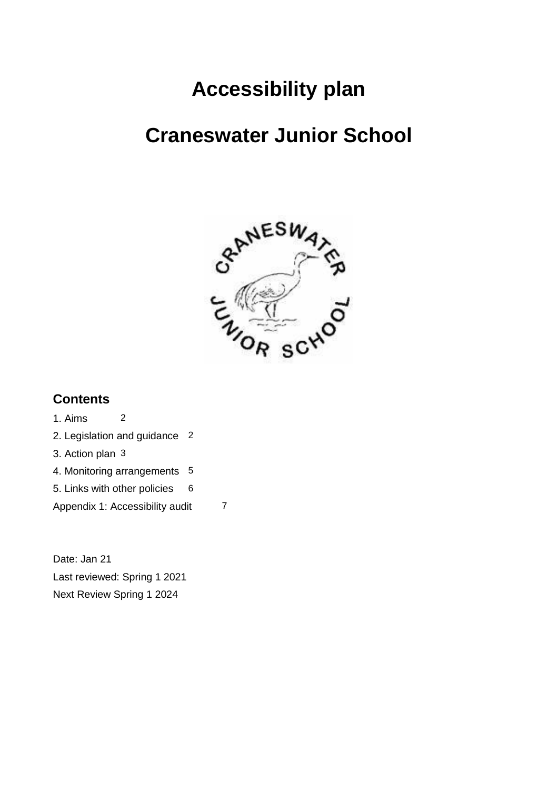# **Accessibility plan**

## **Craneswater Junior School**



#### **Contents**

1. Aims 2 2. Legislation and guidance 2 3. Action plan 3 4. Monitoring arrangements 5 5. Links with other policies 6 Appendix 1: Accessibility audit 7

Date: Jan 21 Last reviewed: Spring 1 2021 Next Review Spring 1 2024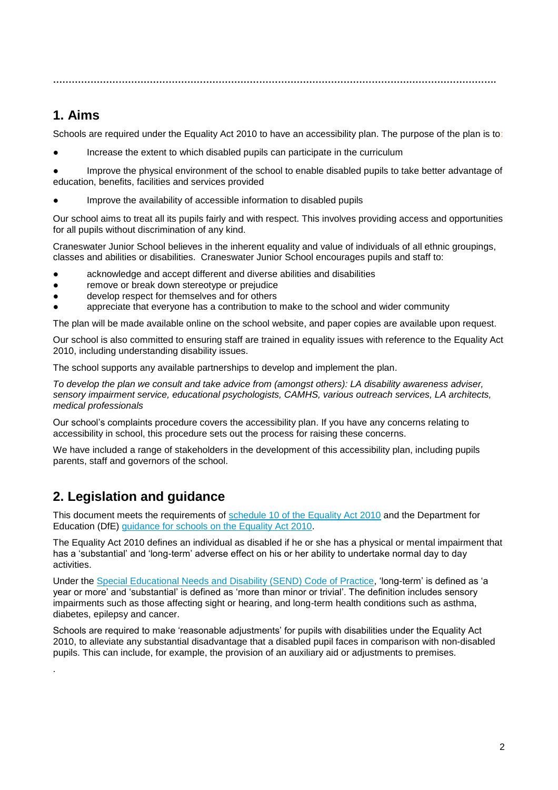**…………………………………………………………………………………………………………………………….**

#### **1. Aims**

Schools are required under the Equality Act 2010 to have an accessibility plan. The purpose of the plan is to:

Increase the extent to which disabled pupils can participate in the curriculum

Improve the physical environment of the school to enable disabled pupils to take better advantage of education, benefits, facilities and services provided

Improve the availability of accessible information to disabled pupils

Our school aims to treat all its pupils fairly and with respect. This involves providing access and opportunities for all pupils without discrimination of any kind.

Craneswater Junior School believes in the inherent equality and value of individuals of all ethnic groupings, classes and abilities or disabilities. Craneswater Junior School encourages pupils and staff to:

- acknowledge and accept different and diverse abilities and disabilities
- remove or break down stereotype or prejudice
- develop respect for themselves and for others
- appreciate that everyone has a contribution to make to the school and wider community

The plan will be made available online on the school website, and paper copies are available upon request.

Our school is also committed to ensuring staff are trained in equality issues with reference to the Equality Act 2010, including understanding disability issues.

The school supports any available partnerships to develop and implement the plan.

*To develop the plan we consult and take advice from (amongst others): LA disability awareness adviser, sensory impairment service, educational psychologists, CAMHS, various outreach services, LA architects, medical professionals*

Our school's complaints procedure covers the accessibility plan. If you have any concerns relating to accessibility in school, this procedure sets out the process for raising these concerns.

We have included a range of stakeholders in the development of this accessibility plan, including pupils parents, staff and governors of the school.

#### **2. Legislation and guidance**

.

This document meets the requirements of [schedule 10 of the Equality Act 2010](http://www.legislation.gov.uk/ukpga/2010/15/schedule/10) and the Department for Education (DfE) [guidance for schools on the Equality Act 2010.](https://www.gov.uk/government/publications/equality-act-2010-advice-for-schools)

The Equality Act 2010 defines an individual as disabled if he or she has a physical or mental impairment that has a 'substantial' and 'long-term' adverse effect on his or her ability to undertake normal day to day activities.

Under the [Special Educational Needs and Disability \(SEND\) Code of Practice,](https://www.gov.uk/government/publications/send-code-of-practice-0-to-25) 'long-term' is defined as 'a year or more' and 'substantial' is defined as 'more than minor or trivial'. The definition includes sensory impairments such as those affecting sight or hearing, and long-term health conditions such as asthma, diabetes, epilepsy and cancer.

Schools are required to make 'reasonable adjustments' for pupils with disabilities under the Equality Act 2010, to alleviate any substantial disadvantage that a disabled pupil faces in comparison with non-disabled pupils. This can include, for example, the provision of an auxiliary aid or adjustments to premises.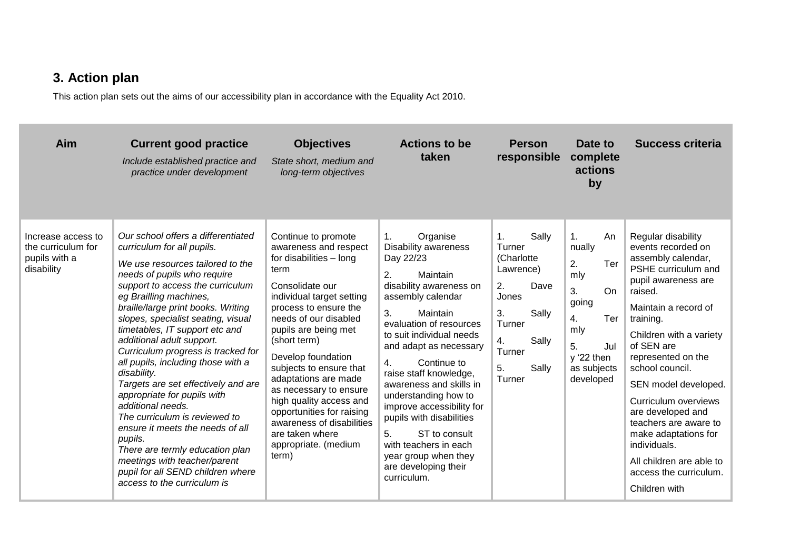### **3. Action plan**

This action plan sets out the aims of our accessibility plan in accordance with the Equality Act 2010.

| Aim                                                                     | <b>Current good practice</b><br>Include established practice and<br>practice under development                                                                                                                                                                                                                                                                                                                                                                                                                                                                                                                                                                                                                                                            | <b>Objectives</b><br>State short, medium and<br>long-term objectives                                                                                                                                                                                                                                                                                                                                                                                                  | <b>Actions to be</b><br>taken                                                                                                                                                                                                                                                                                                                                                                                                                                                                      | <b>Person</b><br>responsible                                                                                                                       | Date to<br>complete<br>actions<br>by                                                                                                                 | <b>Success criteria</b>                                                                                                                                                                                                                                                                                                                                                                                                                                     |
|-------------------------------------------------------------------------|-----------------------------------------------------------------------------------------------------------------------------------------------------------------------------------------------------------------------------------------------------------------------------------------------------------------------------------------------------------------------------------------------------------------------------------------------------------------------------------------------------------------------------------------------------------------------------------------------------------------------------------------------------------------------------------------------------------------------------------------------------------|-----------------------------------------------------------------------------------------------------------------------------------------------------------------------------------------------------------------------------------------------------------------------------------------------------------------------------------------------------------------------------------------------------------------------------------------------------------------------|----------------------------------------------------------------------------------------------------------------------------------------------------------------------------------------------------------------------------------------------------------------------------------------------------------------------------------------------------------------------------------------------------------------------------------------------------------------------------------------------------|----------------------------------------------------------------------------------------------------------------------------------------------------|------------------------------------------------------------------------------------------------------------------------------------------------------|-------------------------------------------------------------------------------------------------------------------------------------------------------------------------------------------------------------------------------------------------------------------------------------------------------------------------------------------------------------------------------------------------------------------------------------------------------------|
| Increase access to<br>the curriculum for<br>pupils with a<br>disability | Our school offers a differentiated<br>curriculum for all pupils.<br>We use resources tailored to the<br>needs of pupils who require<br>support to access the curriculum<br>eg Brailling machines,<br>braille/large print books. Writing<br>slopes, specialist seating, visual<br>timetables, IT support etc and<br>additional adult support.<br>Curriculum progress is tracked for<br>all pupils, including those with a<br>disability.<br>Targets are set effectively and are<br>appropriate for pupils with<br>additional needs.<br>The curriculum is reviewed to<br>ensure it meets the needs of all<br>pupils.<br>There are termly education plan<br>meetings with teacher/parent<br>pupil for all SEND children where<br>access to the curriculum is | Continue to promote<br>awareness and respect<br>for disabilities - long<br>term<br>Consolidate our<br>individual target setting<br>process to ensure the<br>needs of our disabled<br>pupils are being met<br>(short term)<br>Develop foundation<br>subjects to ensure that<br>adaptations are made<br>as necessary to ensure<br>high quality access and<br>opportunities for raising<br>awareness of disabilities<br>are taken where<br>appropriate. (medium<br>term) | Organise<br>1.<br>Disability awareness<br>Day 22/23<br>2.<br>Maintain<br>disability awareness on<br>assembly calendar<br>3.<br>Maintain<br>evaluation of resources<br>to suit individual needs<br>and adapt as necessary<br>4.<br>Continue to<br>raise staff knowledge,<br>awareness and skills in<br>understanding how to<br>improve accessibility for<br>pupils with disabilities<br>ST to consult<br>5.<br>with teachers in each<br>year group when they<br>are developing their<br>curriculum. | Sally<br>1.<br>Turner<br>(Charlotte<br>Lawrence)<br>Dave<br>2.<br>Jones<br>Sally<br>3.<br>Turner<br>Sally<br>4.<br>Turner<br>5.<br>Sally<br>Turner | $\mathbf{1}$ .<br>An<br>nually<br>2.<br>Ter<br>mly<br>3.<br>On.<br>going<br>4.<br>Ter<br>mly<br>5.<br>Jul<br>$y'22$ then<br>as subjects<br>developed | Regular disability<br>events recorded on<br>assembly calendar,<br>PSHE curriculum and<br>pupil awareness are<br>raised.<br>Maintain a record of<br>training.<br>Children with a variety<br>of SEN are<br>represented on the<br>school council.<br>SEN model developed.<br>Curriculum overviews<br>are developed and<br>teachers are aware to<br>make adaptations for<br>individuals.<br>All children are able to<br>access the curriculum.<br>Children with |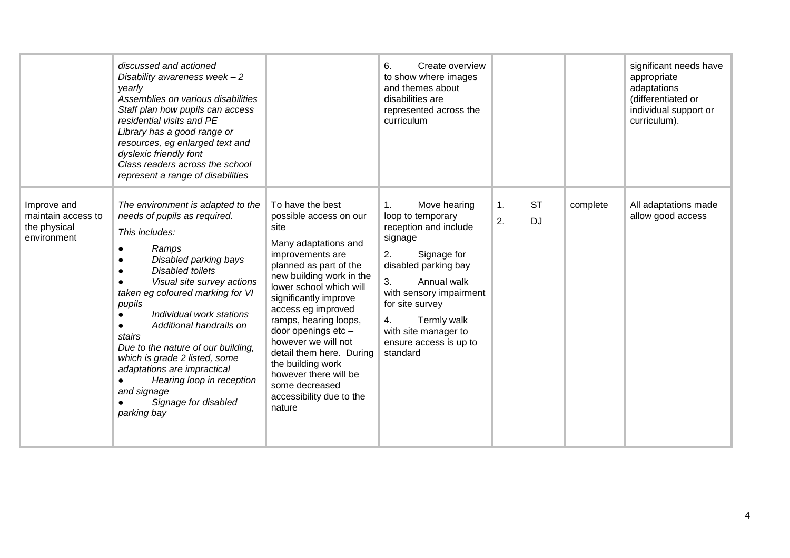|                                                                  | discussed and actioned<br>Disability awareness week $-2$<br>vearly<br>Assemblies on various disabilities<br>Staff plan how pupils can access<br>residential visits and PE<br>Library has a good range or<br>resources, eg enlarged text and<br>dyslexic friendly font<br>Class readers across the school<br>represent a range of disabilities                                                                                                                                          |                                                                                                                                                                                                                                                                                                                                                                                                                                         | Create overview<br>6.<br>to show where images<br>and themes about<br>disabilities are<br>represented across the<br>curriculum                                                                                                                                                  |                             |          | significant needs have<br>appropriate<br>adaptations<br>(differentiated or<br>individual support or<br>curriculum). |
|------------------------------------------------------------------|----------------------------------------------------------------------------------------------------------------------------------------------------------------------------------------------------------------------------------------------------------------------------------------------------------------------------------------------------------------------------------------------------------------------------------------------------------------------------------------|-----------------------------------------------------------------------------------------------------------------------------------------------------------------------------------------------------------------------------------------------------------------------------------------------------------------------------------------------------------------------------------------------------------------------------------------|--------------------------------------------------------------------------------------------------------------------------------------------------------------------------------------------------------------------------------------------------------------------------------|-----------------------------|----------|---------------------------------------------------------------------------------------------------------------------|
| Improve and<br>maintain access to<br>the physical<br>environment | The environment is adapted to the<br>needs of pupils as required.<br>This includes:<br>Ramps<br>Disabled parking bays<br><b>Disabled toilets</b><br>Visual site survey actions<br>taken eg coloured marking for VI<br>pupils<br>Individual work stations<br>Additional handrails on<br>stairs<br>Due to the nature of our building,<br>which is grade 2 listed, some<br>adaptations are impractical<br>Hearing loop in reception<br>and signage<br>Signage for disabled<br>parking bay | To have the best<br>possible access on our<br>site<br>Many adaptations and<br>improvements are<br>planned as part of the<br>new building work in the<br>lower school which will<br>significantly improve<br>access eg improved<br>ramps, hearing loops,<br>door openings etc -<br>however we will not<br>detail them here. During<br>the building work<br>however there will be<br>some decreased<br>accessibility due to the<br>nature | 1.<br>Move hearing<br>loop to temporary<br>reception and include<br>signage<br>Signage for<br>2.<br>disabled parking bay<br>3.<br>Annual walk<br>with sensory impairment<br>for site survey<br>Termly walk<br>4.<br>with site manager to<br>ensure access is up to<br>standard | <b>ST</b><br>1.<br>2.<br>DJ | complete | All adaptations made<br>allow good access                                                                           |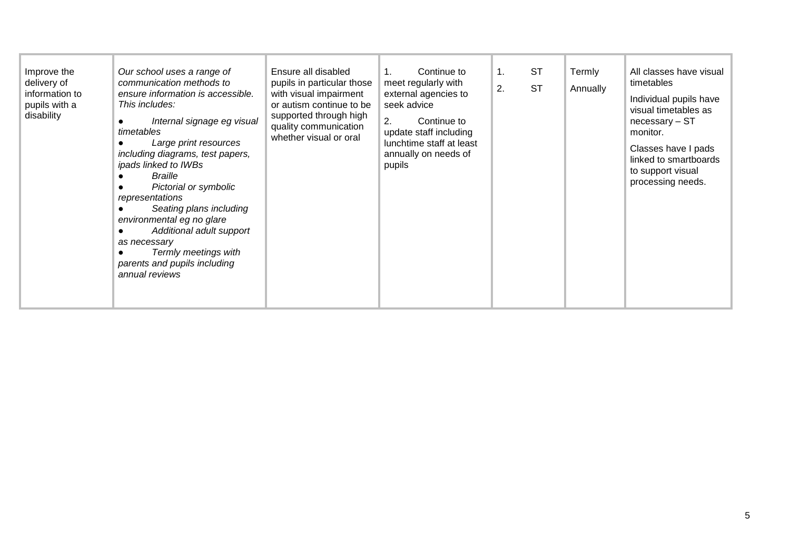| Improve the<br>delivery of<br>information to<br>pupils with a<br>disability | Our school uses a range of<br>communication methods to<br>ensure information is accessible.<br>This includes:<br>Internal signage eg visual<br>timetables<br>Large print resources<br>including diagrams, test papers,<br>ipads linked to IWBs<br>Braille<br>Pictorial or symbolic<br>representations<br>Seating plans including<br>environmental eg no glare<br>Additional adult support<br>$\bullet$<br>as necessary<br>Termly meetings with<br>parents and pupils including<br>annual reviews | Ensure all disabled<br>pupils in particular those<br>with visual impairment<br>or autism continue to be<br>supported through high<br>quality communication<br>whether visual or oral | Continue to<br>meet regularly with<br>external agencies to<br>seek advice<br>2.<br>Continue to<br>update staff including<br>lunchtime staff at least<br>annually on needs of<br>pupils | 1.<br>2. | ST<br><b>ST</b> | Termly<br>Annually | All classes have visual<br>timetables<br>Individual pupils have<br>visual timetables as<br>necessary - ST<br>monitor.<br>Classes have I pads<br>linked to smartboards<br>to support visual<br>processing needs. |
|-----------------------------------------------------------------------------|--------------------------------------------------------------------------------------------------------------------------------------------------------------------------------------------------------------------------------------------------------------------------------------------------------------------------------------------------------------------------------------------------------------------------------------------------------------------------------------------------|--------------------------------------------------------------------------------------------------------------------------------------------------------------------------------------|----------------------------------------------------------------------------------------------------------------------------------------------------------------------------------------|----------|-----------------|--------------------|-----------------------------------------------------------------------------------------------------------------------------------------------------------------------------------------------------------------|
|-----------------------------------------------------------------------------|--------------------------------------------------------------------------------------------------------------------------------------------------------------------------------------------------------------------------------------------------------------------------------------------------------------------------------------------------------------------------------------------------------------------------------------------------------------------------------------------------|--------------------------------------------------------------------------------------------------------------------------------------------------------------------------------------|----------------------------------------------------------------------------------------------------------------------------------------------------------------------------------------|----------|-----------------|--------------------|-----------------------------------------------------------------------------------------------------------------------------------------------------------------------------------------------------------------|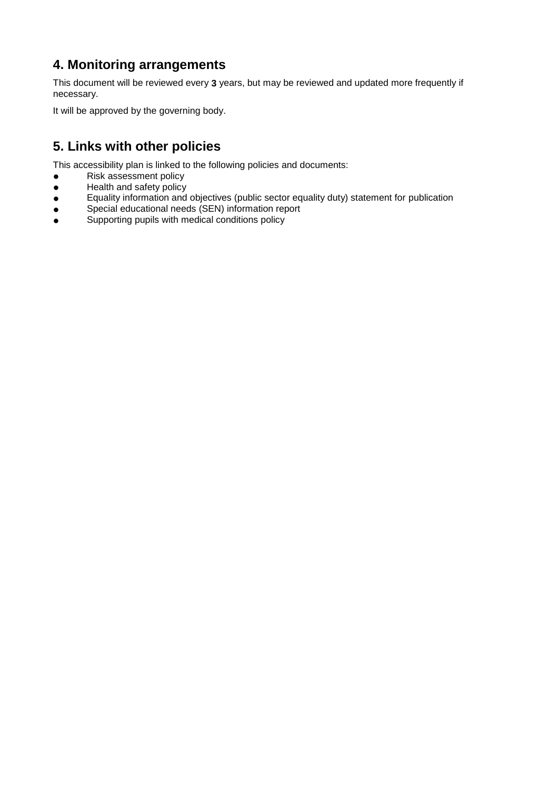#### **4. Monitoring arrangements**

This document will be reviewed every **3** years, but may be reviewed and updated more frequently if necessary.

It will be approved by the governing body.

#### **5. Links with other policies**

This accessibility plan is linked to the following policies and documents:

- **•** Risk assessment policy
- Health and safety policy<br>• Equality information and
- Equality information and objectives (public sector equality duty) statement for publication
- Special educational needs (SEN) information report<br>● Supporting pupils with medical conditions policy
- Supporting pupils with medical conditions policy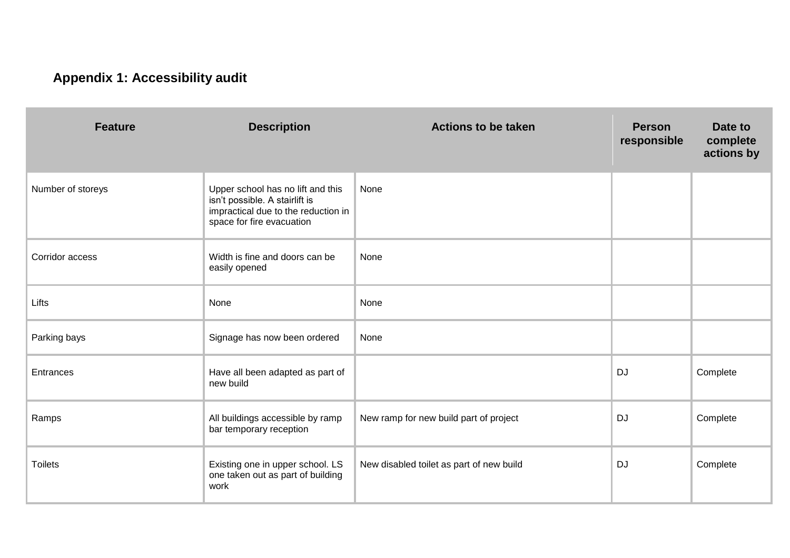### **Appendix 1: Accessibility audit**

| <b>Feature</b>    | <b>Description</b>                                                                                                                      | <b>Actions to be taken</b>               | <b>Person</b><br>responsible | Date to<br>complete<br>actions by |
|-------------------|-----------------------------------------------------------------------------------------------------------------------------------------|------------------------------------------|------------------------------|-----------------------------------|
| Number of storeys | Upper school has no lift and this<br>isn't possible. A stairlift is<br>impractical due to the reduction in<br>space for fire evacuation | None                                     |                              |                                   |
| Corridor access   | Width is fine and doors can be<br>easily opened                                                                                         | None                                     |                              |                                   |
| Lifts             | None                                                                                                                                    | None                                     |                              |                                   |
| Parking bays      | Signage has now been ordered                                                                                                            | None                                     |                              |                                   |
| Entrances         | Have all been adapted as part of<br>new build                                                                                           |                                          | DJ                           | Complete                          |
| Ramps             | All buildings accessible by ramp<br>bar temporary reception                                                                             | New ramp for new build part of project   | <b>DJ</b>                    | Complete                          |
| <b>Toilets</b>    | Existing one in upper school. LS<br>one taken out as part of building<br>work                                                           | New disabled toilet as part of new build | DJ                           | Complete                          |